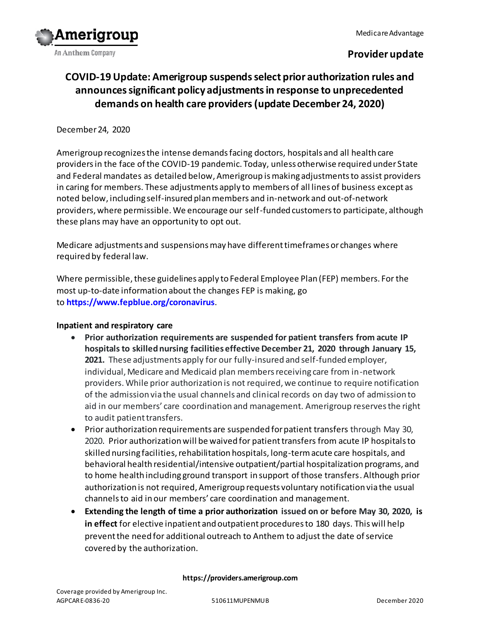

## **Provider update**

# **COVID-19 Update: Amerigroup suspends select prior authorization rules and announces significant policy adjustments in response to unprecedented demands on health care providers(update December 24, 2020)**

#### December 24, 2020

Amerigroup recognizes the intense demands facing doctors, hospitals and all health care providers in the face of the COVID-19 pandemic. Today, unless otherwise required under State and Federal mandates as detailed below, Amerigroup is making adjustments to assist providers in caring for members. These adjustments apply to members of all lines of business except as noted below, including self-insured plan members and in-network and out-of-network providers, where permissible. We encourage our self-funded customers to participate, although these plans may have an opportunity to opt out.

Medicare adjustments and suspensions may have different timeframes or changes where required by federal law.

Where permissible, these guidelines apply to Federal Employee Plan (FEP) members. For the most up-to-date information about the changes FEP is making, go to **<https://www.fepblue.org/coronavirus>**.

#### **Inpatient and respiratory care**

- **Prior authorization requirements are suspended for patient transfers from acute IP hospitals to skilled nursing facilities effective December 21, 2020 through January 15, 2021.** These adjustments apply for our fully-insured and self-funded employer, individual, Medicare and Medicaid plan members receiving care from in-network providers. While prior authorization is not required, we continue to require notification of the admission via the usual channels and clinical records on day two of admission to aid in our members' care coordination and management. Amerigroup reserves the right to audit patient transfers.
- Prior authorization requirements are suspended for patient transfers through May 30, 2020. Prior authorization will be waived for patient transfers from acute IP hospitals to skilled nursing facilities, rehabilitation hospitals, long-term acute care hospitals, and behavioral health residential/intensive outpatient/partial hospitalization programs, and to home health including ground transport in support of those transfers. Although prior authorization is not required, Amerigroup requests voluntary notification via the usual channels to aid in our members' care coordination and management.
- **Extending the length of time a prior authorization issued on or before May 30, 2020, is in effect** for elective inpatient and outpatient procedures to 180 days. This will help prevent the need for additional outreach to Anthem to adjust the date of service covered by the authorization.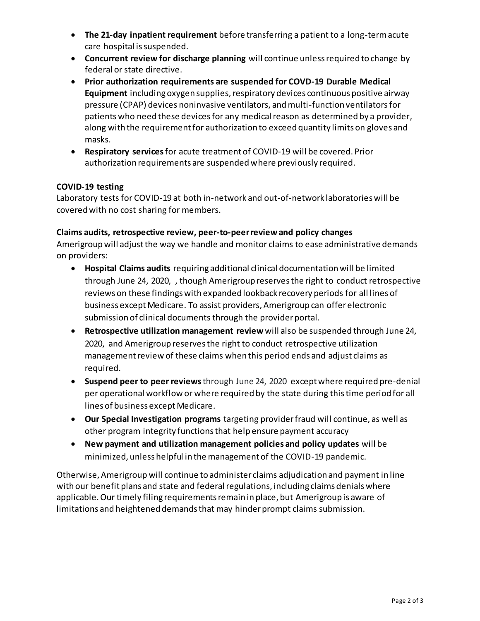- **The 21-day inpatient requirement** before transferring a patient to a long-term acute care hospital is suspended.
- **Concurrent review for discharge planning** will continue unless required to change by federal or state directive.
- **Prior authorization requirements are suspended for COVD-19 Durable Medical Equipment** including oxygen supplies, respiratory devices continuous positive airway pressure (CPAP) devices noninvasive ventilators, and multi-function ventilatorsfor patients who need these devices for any medical reason as determined by a provider, along with the requirement for authorization to exceed quantity limits on gloves and masks.
- **Respiratory services**for acute treatment of COVID-19 will be covered. Prior authorization requirements are suspended where previously required.

## **COVID-19 testing**

Laboratory tests for COVID-19 at both in-network and out-of-network laboratories will be covered with no cost sharing for members.

## **Claims audits, retrospective review, peer-to-peer reviewand policy changes**

Amerigroup will adjust the way we handle and monitor claims to ease administrative demands on providers:

- **Hospital Claims audits** requiring additional clinical documentation will be limited through June 24, 2020, , though Amerigroup reserves the right to conduct retrospective reviews on these findings with expanded lookback recovery periods for all lines of business except Medicare. To assist providers, Amerigroup can offer electronic submission of clinical documents through the provider portal.
- **Retrospective utilization management review** will also be suspended through June 24, 2020, and Amerigroup reserves the right to conduct retrospective utilization management review of these claims when this period ends and adjust claims as required.
- **Suspend peer to peer reviews**through June 24, 2020 except where required pre-denial per operational workflow or where required by the state during this time period for all lines of business except Medicare.
- **Our Special Investigation programs** targeting provider fraud will continue, as well as other program integrity functions that help ensure payment accuracy
- **New payment and utilization management policies and policy updates** will be minimized, unless helpful in the management of the COVID-19 pandemic.

Otherwise, Amerigroup will continue to administer claims adjudication and payment in line with our benefit plans and state and federal regulations, including claims denials where applicable. Our timely filing requirements remain in place, but Amerigroup is aware of limitations and heightened demands that may hinder prompt claims submission.